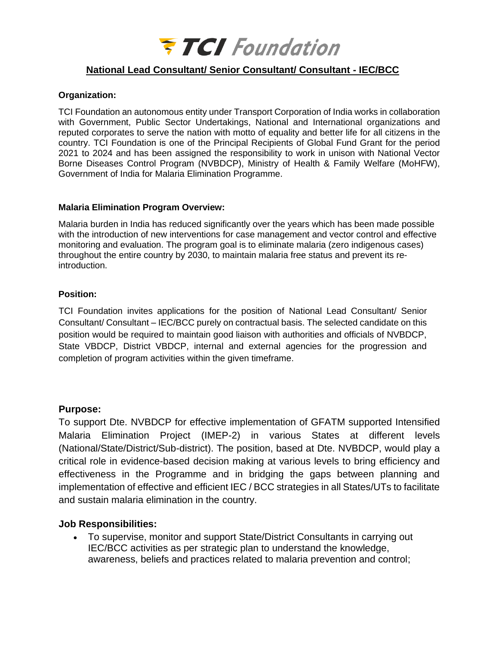

## **National Lead Consultant/ Senior Consultant/ Consultant - IEC/BCC**

#### **Organization:**

TCI Foundation an autonomous entity under Transport Corporation of India works in collaboration with Government, Public Sector Undertakings, National and International organizations and reputed corporates to serve the nation with motto of equality and better life for all citizens in the country. TCI Foundation is one of the Principal Recipients of Global Fund Grant for the period 2021 to 2024 and has been assigned the responsibility to work in unison with National Vector Borne Diseases Control Program (NVBDCP), Ministry of Health & Family Welfare (MoHFW), Government of India for Malaria Elimination Programme.

#### **Malaria Elimination Program Overview:**

Malaria burden in India has reduced significantly over the years which has been made possible with the introduction of new interventions for case management and vector control and effective monitoring and evaluation. The program goal is to eliminate malaria (zero indigenous cases) throughout the entire country by 2030, to maintain malaria free status and prevent its reintroduction.

#### **Position:**

TCI Foundation invites applications for the position of National Lead Consultant/ Senior Consultant/ Consultant – IEC/BCC purely on contractual basis. The selected candidate on this position would be required to maintain good liaison with authorities and officials of NVBDCP, State VBDCP, District VBDCP, internal and external agencies for the progression and completion of program activities within the given timeframe.

#### **Purpose:**

To support Dte. NVBDCP for effective implementation of GFATM supported Intensified Malaria Elimination Project (IMEP-2) in various States at different levels (National/State/District/Sub-district). The position, based at Dte. NVBDCP, would play a critical role in evidence-based decision making at various levels to bring efficiency and effectiveness in the Programme and in bridging the gaps between planning and implementation of effective and efficient IEC / BCC strategies in all States/UTs to facilitate and sustain malaria elimination in the country.

#### **Job Responsibilities:**

• To supervise, monitor and support State/District Consultants in carrying out IEC/BCC activities as per strategic plan to understand the knowledge, awareness, beliefs and practices related to malaria prevention and control;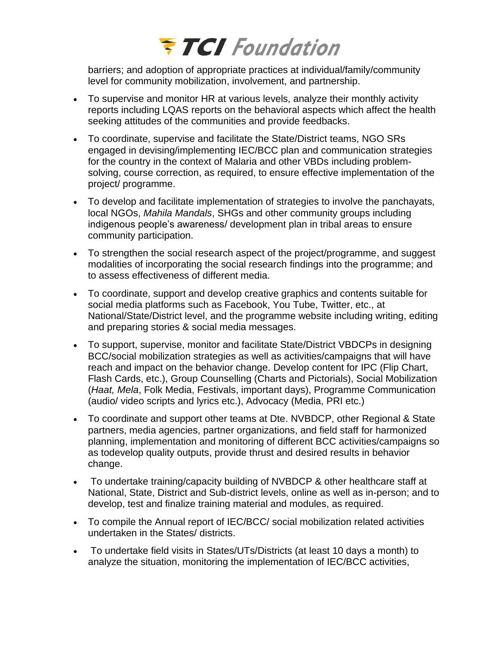# **FTCI** Foundation

barriers; and adoption of appropriate practices at individual/family/community level for community mobilization, involvement, and partnership.

- To supervise and monitor HR at various levels, analyze their monthly activity reports including LQAS reports on the behavioral aspects which affect the health seeking attitudes of the communities and provide feedbacks.
- To coordinate, supervise and facilitate the State/District teams, NGO SRs engaged in devising/implementing IEC/BCC plan and communication strategies for the country in the context of Malaria and other VBDs including problemsolving, course correction, as required, to ensure effective implementation of the project/ programme.
- To develop and facilitate implementation of strategies to involve the panchayats, local NGOs, *Mahila Mandals*, SHGs and other community groups including indigenous people's awareness/ development plan in tribal areas to ensure community participation.
- To strengthen the social research aspect of the project/programme, and suggest modalities of incorporating the social research findings into the programme; and to assess effectiveness of different media.
- To coordinate, support and develop creative graphics and contents suitable for social media platforms such as Facebook, You Tube, Twitter, etc., at National/State/District level, and the programme website including writing, editing and preparing stories & social media messages.
- To support, supervise, monitor and facilitate State/District VBDCPs in designing BCC/social mobilization strategies as well as activities/campaigns that will have reach and impact on the behavior change. Develop content for IPC (Flip Chart, Flash Cards, etc.), Group Counselling (Charts and Pictorials), Social Mobilization (*Haat, Mela*, Folk Media, Festivals, important days), Programme Communication (audio/ video scripts and lyrics etc.), Advocacy (Media, PRI etc.)
- To coordinate and support other teams at Dte. NVBDCP, other Regional & State partners, media agencies, partner organizations, and field staff for harmonized planning, implementation and monitoring of different BCC activities/campaigns so as todevelop quality outputs, provide thrust and desired results in behavior change.
- To undertake training/capacity building of NVBDCP & other healthcare staff at National, State, District and Sub-district levels, online as well as in-person; and to develop, test and finalize training material and modules, as required.
- To compile the Annual report of IEC/BCC/ social mobilization related activities undertaken in the States/ districts.
- To undertake field visits in States/UTs/Districts (at least 10 days a month) to analyze the situation, monitoring the implementation of IEC/BCC activities,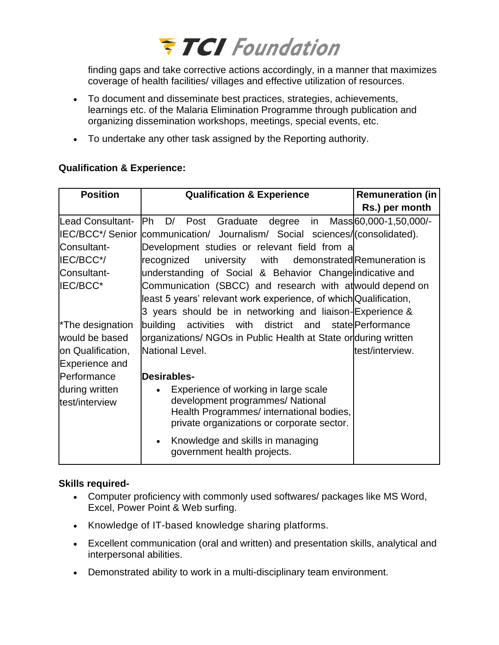## **FTCI** Foundation

finding gaps and take corrective actions accordingly, in a manner that maximizes coverage of health facilities/ villages and effective utilization of resources.

- To document and disseminate best practices, strategies, achievements, learnings etc. of the Malaria Elimination Programme through publication and organizing dissemination workshops, meetings, special events, etc.
- To undertake any other task assigned by the Reporting authority.

## **Qualification & Experience:**

| <b>Position</b>                  | <b>Qualification &amp; Experience</b>                                                                                                                              | <b>Remuneration (in</b> |
|----------------------------------|--------------------------------------------------------------------------------------------------------------------------------------------------------------------|-------------------------|
|                                  |                                                                                                                                                                    | Rs.) per month          |
| Lead Consultant-                 | Ph D/ Post Graduate degree in Mass 60,000-1,50,000/-                                                                                                               |                         |
|                                  | IEC/BCC*/ Senior communication/ Journalism/ Social sciences/(consolidated).                                                                                        |                         |
| Consultant-                      | Development studies or relevant field from a                                                                                                                       |                         |
| IEC/BCC*/                        | recognized<br>university with demonstrated Remuneration is                                                                                                         |                         |
| Consultant-                      | understanding of Social & Behavior Change indicative and                                                                                                           |                         |
| IEC/BCC*                         | Communication (SBCC) and research with at would depend on                                                                                                          |                         |
|                                  | least 5 years' relevant work experience, of which Qualification,                                                                                                   |                         |
|                                  | 3 years should be in networking and liaison-Experience &                                                                                                           |                         |
| <sup>*</sup> The designation     | building activities with district and state Performance                                                                                                            |                         |
| would be based                   | organizations/ NGOs in Public Health at State orduring written                                                                                                     |                         |
| on Qualification,                | National Level.                                                                                                                                                    | test/interview.         |
| Experience and                   |                                                                                                                                                                    |                         |
| <b>Performance</b>               | <b>Desirables-</b>                                                                                                                                                 |                         |
| during written<br>test/interview | Experience of working in large scale<br>development programmes/ National<br>Health Programmes/ international bodies,<br>private organizations or corporate sector. |                         |
|                                  | Knowledge and skills in managing<br>government health projects.                                                                                                    |                         |

## **Skills required-**

- Computer proficiency with commonly used softwares/ packages like MS Word, Excel, Power Point & Web surfing.
- Knowledge of IT-based knowledge sharing platforms.
- Excellent communication (oral and written) and presentation skills, analytical and interpersonal abilities.
- Demonstrated ability to work in a multi-disciplinary team environment.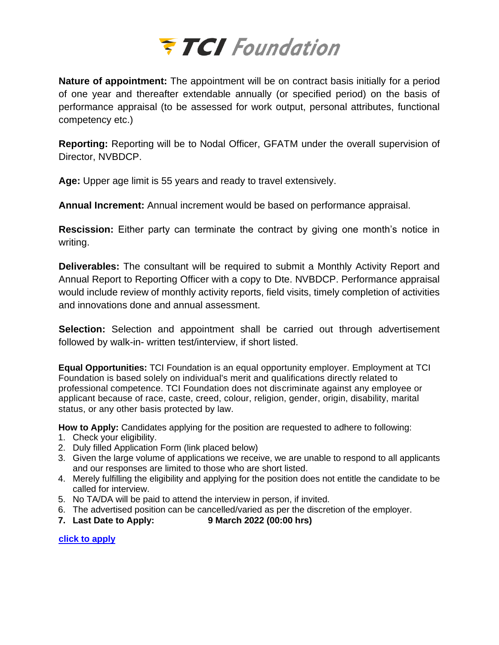

**Nature of appointment:** The appointment will be on contract basis initially for a period of one year and thereafter extendable annually (or specified period) on the basis of performance appraisal (to be assessed for work output, personal attributes, functional competency etc.)

**Reporting:** Reporting will be to Nodal Officer, GFATM under the overall supervision of Director, NVBDCP.

**Age:** Upper age limit is 55 years and ready to travel extensively.

**Annual Increment:** Annual increment would be based on performance appraisal.

**Rescission:** Either party can terminate the contract by giving one month's notice in writing.

**Deliverables:** The consultant will be required to submit a Monthly Activity Report and Annual Report to Reporting Officer with a copy to Dte. NVBDCP. Performance appraisal would include review of monthly activity reports, field visits, timely completion of activities and innovations done and annual assessment.

**Selection:** Selection and appointment shall be carried out through advertisement followed by walk-in- written test/interview, if short listed.

**Equal Opportunities:** TCI Foundation is an equal opportunity employer. Employment at TCI Foundation is based solely on individual's merit and qualifications directly related to professional competence. TCI Foundation does not discriminate against any employee or applicant because of race, caste, creed, colour, religion, gender, origin, disability, marital status, or any other basis protected by law.

**How to Apply:** Candidates applying for the position are requested to adhere to following:

- 1. Check your eligibility.
- 2. Duly filled Application Form (link placed below)
- 3. Given the large volume of applications we receive, we are unable to respond to all applicants and our responses are limited to those who are short listed.
- 4. Merely fulfilling the eligibility and applying for the position does not entitle the candidate to be called for interview.
- 5. No TA/DA will be paid to attend the interview in person, if invited.
- 6. The advertised position can be cancelled/varied as per the discretion of the employer.
- **7. Last Date to Apply: 9 March 2022 (00:00 hrs)**

**[click to apply](https://forms.gle/JBNCSerN2G1UW7fC7)**